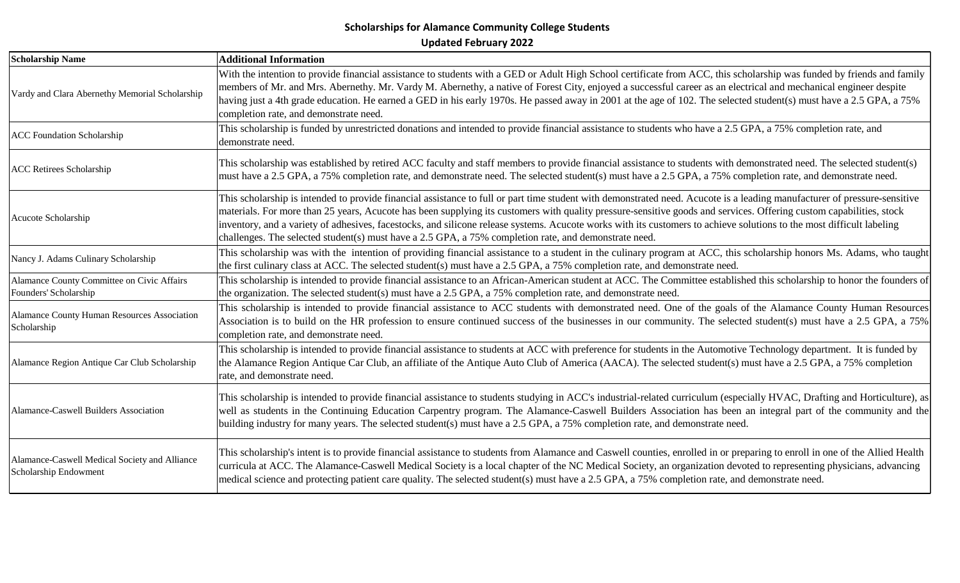| <b>Scholarship Name</b>                                                | <b>Additional Information</b>                                                                                                                                                                                                                                                                                                                                                                                                                                                                                                                                                                                                      |
|------------------------------------------------------------------------|------------------------------------------------------------------------------------------------------------------------------------------------------------------------------------------------------------------------------------------------------------------------------------------------------------------------------------------------------------------------------------------------------------------------------------------------------------------------------------------------------------------------------------------------------------------------------------------------------------------------------------|
| Vardy and Clara Abernethy Memorial Scholarship                         | With the intention to provide financial assistance to students with a GED or Adult High School certificate from ACC, this scholarship was funded by friends and family<br>members of Mr. and Mrs. Abernethy. Mr. Vardy M. Abernethy, a native of Forest City, enjoyed a successful career as an electrical and mechanical engineer despite<br>having just a 4th grade education. He earned a GED in his early 1970s. He passed away in 2001 at the age of 102. The selected student(s) must have a 2.5 GPA, a 75%<br>completion rate, and demonstrate need.                                                                        |
| <b>ACC Foundation Scholarship</b>                                      | This scholarship is funded by unrestricted donations and intended to provide financial assistance to students who have a 2.5 GPA, a 75% completion rate, and<br>demonstrate need.                                                                                                                                                                                                                                                                                                                                                                                                                                                  |
| <b>ACC Retirees Scholarship</b>                                        | This scholarship was established by retired ACC faculty and staff members to provide financial assistance to students with demonstrated need. The selected student(s)<br>must have a 2.5 GPA, a 75% completion rate, and demonstrate need. The selected student(s) must have a 2.5 GPA, a 75% completion rate, and demonstrate need.                                                                                                                                                                                                                                                                                               |
| Acucote Scholarship                                                    | This scholarship is intended to provide financial assistance to full or part time student with demonstrated need. Acucote is a leading manufacturer of pressure-sensitive<br>materials. For more than 25 years, Acucote has been supplying its customers with quality pressure-sensitive goods and services. Offering custom capabilities, stock<br>inventory, and a variety of adhesives, facestocks, and silicone release systems. Acucote works with its customers to achieve solutions to the most difficult labeling<br>challenges. The selected student(s) must have a 2.5 GPA, a 75% completion rate, and demonstrate need. |
| Nancy J. Adams Culinary Scholarship                                    | This scholarship was with the intention of providing financial assistance to a student in the culinary program at ACC, this scholarship honors Ms. Adams, who taught<br>the first culinary class at ACC. The selected student(s) must have a 2.5 GPA, a 75% completion rate, and demonstrate need.                                                                                                                                                                                                                                                                                                                                 |
| Alamance County Committee on Civic Affairs<br>Founders' Scholarship    | This scholarship is intended to provide financial assistance to an African-American student at ACC. The Committee established this scholarship to honor the founders of<br>the organization. The selected student(s) must have a 2.5 GPA, a 75% completion rate, and demonstrate need.                                                                                                                                                                                                                                                                                                                                             |
| Alamance County Human Resources Association<br>Scholarship             | This scholarship is intended to provide financial assistance to ACC students with demonstrated need. One of the goals of the Alamance County Human Resources<br>Association is to build on the HR profession to ensure continued success of the businesses in our community. The selected student(s) must have a 2.5 GPA, a 75%<br>completion rate, and demonstrate need.                                                                                                                                                                                                                                                          |
| Alamance Region Antique Car Club Scholarship                           | This scholarship is intended to provide financial assistance to students at ACC with preference for students in the Automotive Technology department. It is funded by<br>the Alamance Region Antique Car Club, an affiliate of the Antique Auto Club of America (AACA). The selected student(s) must have a 2.5 GPA, a 75% completion<br>rate, and demonstrate need.                                                                                                                                                                                                                                                               |
| Alamance-Caswell Builders Association                                  | This scholarship is intended to provide financial assistance to students studying in ACC's industrial-related curriculum (especially HVAC, Drafting and Horticulture), as<br>well as students in the Continuing Education Carpentry program. The Alamance-Caswell Builders Association has been an integral part of the community and the<br>building industry for many years. The selected student(s) must have a 2.5 GPA, a 75% completion rate, and demonstrate need.                                                                                                                                                           |
| Alamance-Caswell Medical Society and Alliance<br>Scholarship Endowment | This scholarship's intent is to provide financial assistance to students from Alamance and Caswell counties, enrolled in or preparing to enroll in one of the Allied Health<br>curricula at ACC. The Alamance-Caswell Medical Society is a local chapter of the NC Medical Society, an organization devoted to representing physicians, advancing<br>medical science and protecting patient care quality. The selected student(s) must have a 2.5 GPA, a 75% completion rate, and demonstrate need.                                                                                                                                |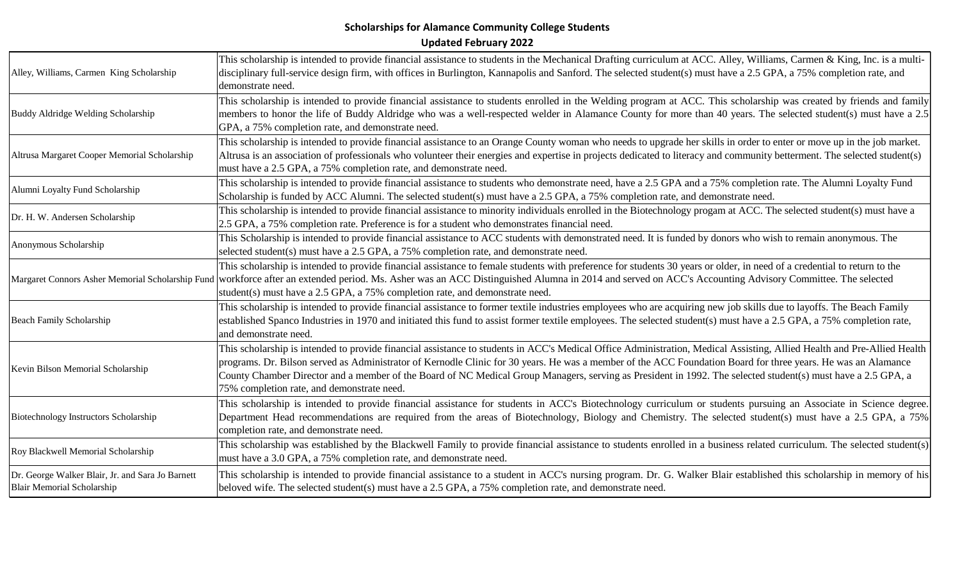| Alley, Williams, Carmen King Scholarship                                              | This scholarship is intended to provide financial assistance to students in the Mechanical Drafting curriculum at ACC. Alley, Williams, Carmen & King, Inc. is a multi-<br>disciplinary full-service design firm, with offices in Burlington, Kannapolis and Sanford. The selected student(s) must have a 2.5 GPA, a 75% completion rate, and<br>demonstrate need.                                                                                                                                                                                     |
|---------------------------------------------------------------------------------------|--------------------------------------------------------------------------------------------------------------------------------------------------------------------------------------------------------------------------------------------------------------------------------------------------------------------------------------------------------------------------------------------------------------------------------------------------------------------------------------------------------------------------------------------------------|
| Buddy Aldridge Welding Scholarship                                                    | This scholarship is intended to provide financial assistance to students enrolled in the Welding program at ACC. This scholarship was created by friends and family<br>members to honor the life of Buddy Aldridge who was a well-respected welder in Alamance County for more than 40 years. The selected student(s) must have a 2.5<br>GPA, a 75% completion rate, and demonstrate need.                                                                                                                                                             |
| Altrusa Margaret Cooper Memorial Scholarship                                          | This scholarship is intended to provide financial assistance to an Orange County woman who needs to upgrade her skills in order to enter or move up in the job market.<br>Altrusa is an association of professionals who volunteer their energies and expertise in projects dedicated to literacy and community betterment. The selected student(s)<br>must have a 2.5 GPA, a 75% completion rate, and demonstrate need.                                                                                                                               |
| Alumni Loyalty Fund Scholarship                                                       | This scholarship is intended to provide financial assistance to students who demonstrate need, have a 2.5 GPA and a 75% completion rate. The Alumni Loyalty Fund<br>Scholarship is funded by ACC Alumni. The selected student(s) must have a 2.5 GPA, a 75% completion rate, and demonstrate need.                                                                                                                                                                                                                                                     |
| Dr. H. W. Andersen Scholarship                                                        | This scholarship is intended to provide financial assistance to minority individuals enrolled in the Biotechnology progam at ACC. The selected student(s) must have a<br>2.5 GPA, a 75% completion rate. Preference is for a student who demonstrates financial need.                                                                                                                                                                                                                                                                                  |
| Anonymous Scholarship                                                                 | This Scholarship is intended to provide financial assistance to ACC students with demonstrated need. It is funded by donors who wish to remain anonymous. The<br>selected student(s) must have a 2.5 GPA, a 75% completion rate, and demonstrate need.                                                                                                                                                                                                                                                                                                 |
|                                                                                       | This scholarship is intended to provide financial assistance to female students with preference for students 30 years or older, in need of a credential to return to the<br>Margaret Connors Asher Memorial Scholarship Fund workforce after an extended period. Ms. Asher was an ACC Distinguished Alumna in 2014 and served on ACC's Accounting Advisory Committee. The selected<br>student(s) must have a 2.5 GPA, a 75% completion rate, and demonstrate need.                                                                                     |
| <b>Beach Family Scholarship</b>                                                       | This scholarship is intended to provide financial assistance to former textile industries employees who are acquiring new job skills due to layoffs. The Beach Family<br>established Spanco Industries in 1970 and initiated this fund to assist former textile employees. The selected student(s) must have a 2.5 GPA, a 75% completion rate,<br>and demonstrate need.                                                                                                                                                                                |
| Kevin Bilson Memorial Scholarship                                                     | This scholarship is intended to provide financial assistance to students in ACC's Medical Office Administration, Medical Assisting, Allied Health and Pre-Allied Health<br>programs. Dr. Bilson served as Administrator of Kernodle Clinic for 30 years. He was a member of the ACC Foundation Board for three years. He was an Alamance<br>County Chamber Director and a member of the Board of NC Medical Group Managers, serving as President in 1992. The selected student(s) must have a 2.5 GPA, a<br>75% completion rate, and demonstrate need. |
| Biotechnology Instructors Scholarship                                                 | This scholarship is intended to provide financial assistance for students in ACC's Biotechnology curriculum or students pursuing an Associate in Science degree.<br>Department Head recommendations are required from the areas of Biotechnology, Biology and Chemistry. The selected student(s) must have a 2.5 GPA, a 75%<br>completion rate, and demonstrate need.                                                                                                                                                                                  |
| Roy Blackwell Memorial Scholarship                                                    | This scholarship was established by the Blackwell Family to provide financial assistance to students enrolled in a business related curriculum. The selected student(s)<br>must have a 3.0 GPA, a 75% completion rate, and demonstrate need.                                                                                                                                                                                                                                                                                                           |
| Dr. George Walker Blair, Jr. and Sara Jo Barnett<br><b>Blair Memorial Scholarship</b> | This scholarship is intended to provide financial assistance to a student in ACC's nursing program. Dr. G. Walker Blair established this scholarship in memory of his<br>beloved wife. The selected student(s) must have a 2.5 GPA, a 75% completion rate, and demonstrate need.                                                                                                                                                                                                                                                                       |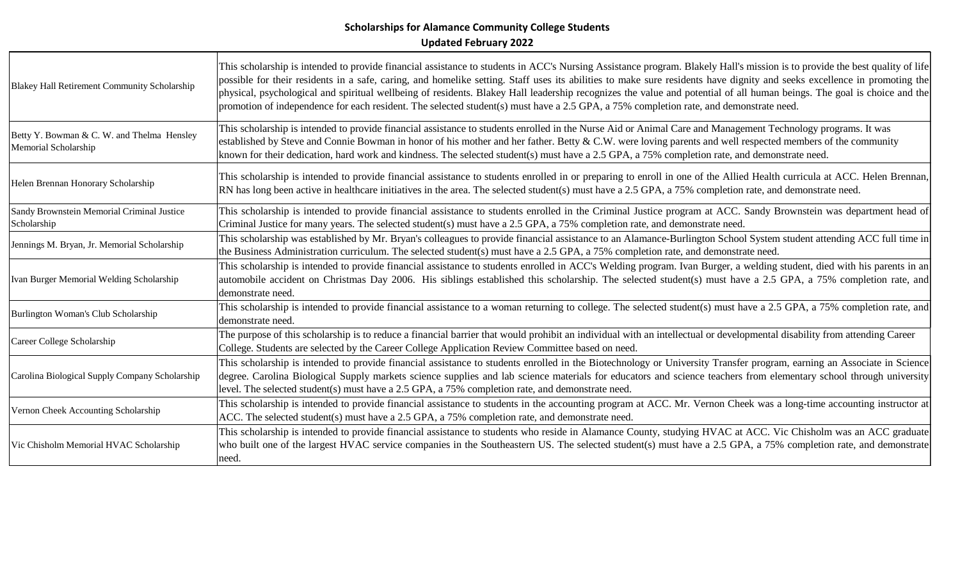| Blakey Hall Retirement Community Scholarship                       | This scholarship is intended to provide financial assistance to students in ACC's Nursing Assistance program. Blakely Hall's mission is to provide the best quality of life<br>possible for their residents in a safe, caring, and homelike setting. Staff uses its abilities to make sure residents have dignity and seeks excellence in promoting the<br>physical, psychological and spiritual wellbeing of residents. Blakey Hall leadership recognizes the value and potential of all human beings. The goal is choice and the<br>promotion of independence for each resident. The selected student(s) must have a 2.5 GPA, a 75% completion rate, and demonstrate need. |
|--------------------------------------------------------------------|------------------------------------------------------------------------------------------------------------------------------------------------------------------------------------------------------------------------------------------------------------------------------------------------------------------------------------------------------------------------------------------------------------------------------------------------------------------------------------------------------------------------------------------------------------------------------------------------------------------------------------------------------------------------------|
| Betty Y. Bowman & C. W. and Thelma Hensley<br>Memorial Scholarship | This scholarship is intended to provide financial assistance to students enrolled in the Nurse Aid or Animal Care and Management Technology programs. It was<br>established by Steve and Connie Bowman in honor of his mother and her father. Betty & C.W. were loving parents and well respected members of the community<br>known for their dedication, hard work and kindness. The selected student(s) must have a 2.5 GPA, a 75% completion rate, and demonstrate need.                                                                                                                                                                                                  |
| Helen Brennan Honorary Scholarship                                 | This scholarship is intended to provide financial assistance to students enrolled in or preparing to enroll in one of the Allied Health curricula at ACC. Helen Brennan,<br>RN has long been active in healthcare initiatives in the area. The selected student(s) must have a 2.5 GPA, a 75% completion rate, and demonstrate need.                                                                                                                                                                                                                                                                                                                                         |
| Sandy Brownstein Memorial Criminal Justice<br>Scholarship          | This scholarship is intended to provide financial assistance to students enrolled in the Criminal Justice program at ACC. Sandy Brownstein was department head of<br>Criminal Justice for many years. The selected student(s) must have a 2.5 GPA, a 75% completion rate, and demonstrate need.                                                                                                                                                                                                                                                                                                                                                                              |
| Jennings M. Bryan, Jr. Memorial Scholarship                        | This scholarship was established by Mr. Bryan's colleagues to provide financial assistance to an Alamance-Burlington School System student attending ACC full time in<br>the Business Administration curriculum. The selected student(s) must have a 2.5 GPA, a 75% completion rate, and demonstrate need.                                                                                                                                                                                                                                                                                                                                                                   |
| Ivan Burger Memorial Welding Scholarship                           | This scholarship is intended to provide financial assistance to students enrolled in ACC's Welding program. Ivan Burger, a welding student, died with his parents in an<br>automobile accident on Christmas Day 2006. His siblings established this scholarship. The selected student(s) must have a 2.5 GPA, a 75% completion rate, and<br>demonstrate need.                                                                                                                                                                                                                                                                                                                |
| Burlington Woman's Club Scholarship                                | This scholarship is intended to provide financial assistance to a woman returning to college. The selected student(s) must have a 2.5 GPA, a 75% completion rate, and<br>demonstrate need.                                                                                                                                                                                                                                                                                                                                                                                                                                                                                   |
| Career College Scholarship                                         | The purpose of this scholarship is to reduce a financial barrier that would prohibit an individual with an intellectual or developmental disability from attending Career<br>College. Students are selected by the Career College Application Review Committee based on need.                                                                                                                                                                                                                                                                                                                                                                                                |
| Carolina Biological Supply Company Scholarship                     | This scholarship is intended to provide financial assistance to students enrolled in the Biotechnology or University Transfer program, earning an Associate in Science<br>degree. Carolina Biological Supply markets science supplies and lab science materials for educators and science teachers from elementary school through university<br>level. The selected student(s) must have a 2.5 GPA, a 75% completion rate, and demonstrate need.                                                                                                                                                                                                                             |
| Vernon Cheek Accounting Scholarship                                | This scholarship is intended to provide financial assistance to students in the accounting program at ACC. Mr. Vernon Cheek was a long-time accounting instructor at<br>ACC. The selected student(s) must have a 2.5 GPA, a 75% completion rate, and demonstrate need.                                                                                                                                                                                                                                                                                                                                                                                                       |
| Vic Chisholm Memorial HVAC Scholarship                             | This scholarship is intended to provide financial assistance to students who reside in Alamance County, studying HVAC at ACC. Vic Chisholm was an ACC graduate<br>who built one of the largest HVAC service companies in the Southeastern US. The selected student(s) must have a 2.5 GPA, a 75% completion rate, and demonstrate<br> need.                                                                                                                                                                                                                                                                                                                                  |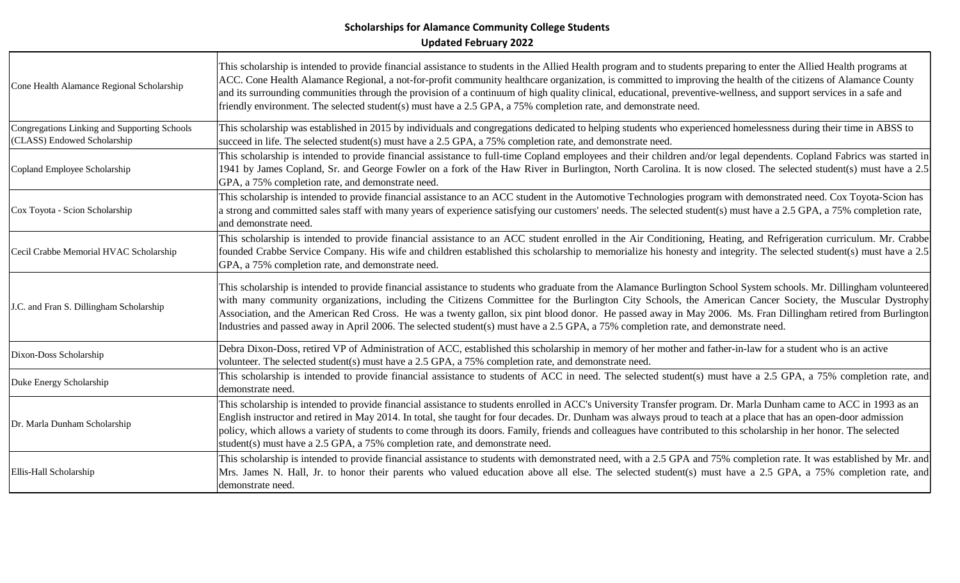| Cone Health Alamance Regional Scholarship                                   | This scholarship is intended to provide financial assistance to students in the Allied Health program and to students preparing to enter the Allied Health programs at<br>ACC. Cone Health Alamance Regional, a not-for-profit community healthcare organization, is committed to improving the health of the citizens of Alamance County<br>and its surrounding communities through the provision of a continuum of high quality clinical, educational, preventive-wellness, and support services in a safe and<br>friendly environment. The selected student(s) must have a 2.5 GPA, a 75% completion rate, and demonstrate need.       |
|-----------------------------------------------------------------------------|-------------------------------------------------------------------------------------------------------------------------------------------------------------------------------------------------------------------------------------------------------------------------------------------------------------------------------------------------------------------------------------------------------------------------------------------------------------------------------------------------------------------------------------------------------------------------------------------------------------------------------------------|
| Congregations Linking and Supporting Schools<br>(CLASS) Endowed Scholarship | This scholarship was established in 2015 by individuals and congregations dedicated to helping students who experienced homelessness during their time in ABSS to<br>succeed in life. The selected student(s) must have a 2.5 GPA, a 75% completion rate, and demonstrate need.                                                                                                                                                                                                                                                                                                                                                           |
| Copland Employee Scholarship                                                | This scholarship is intended to provide financial assistance to full-time Copland employees and their children and/or legal dependents. Copland Fabrics was started in<br>1941 by James Copland, Sr. and George Fowler on a fork of the Haw River in Burlington, North Carolina. It is now closed. The selected student(s) must have a 2.5<br>GPA, a 75% completion rate, and demonstrate need.                                                                                                                                                                                                                                           |
| Cox Toyota - Scion Scholarship                                              | This scholarship is intended to provide financial assistance to an ACC student in the Automotive Technologies program with demonstrated need. Cox Toyota-Scion has<br>a strong and committed sales staff with many years of experience satisfying our customers' needs. The selected student(s) must have a 2.5 GPA, a 75% completion rate,<br>and demonstrate need.                                                                                                                                                                                                                                                                      |
| Cecil Crabbe Memorial HVAC Scholarship                                      | This scholarship is intended to provide financial assistance to an ACC student enrolled in the Air Conditioning, Heating, and Refrigeration curriculum. Mr. Crabbe<br>founded Crabbe Service Company. His wife and children established this scholarship to memorialize his honesty and integrity. The selected student(s) must have a 2.5<br>GPA, a 75% completion rate, and demonstrate need.                                                                                                                                                                                                                                           |
| J.C. and Fran S. Dillingham Scholarship                                     | This scholarship is intended to provide financial assistance to students who graduate from the Alamance Burlington School System schools. Mr. Dillingham volunteered<br>with many community organizations, including the Citizens Committee for the Burlington City Schools, the American Cancer Society, the Muscular Dystrophy<br>Association, and the American Red Cross. He was a twenty gallon, six pint blood donor. He passed away in May 2006. Ms. Fran Dillingham retired from Burlington<br>Industries and passed away in April 2006. The selected student(s) must have a 2.5 GPA, a 75% completion rate, and demonstrate need. |
| Dixon-Doss Scholarship                                                      | Debra Dixon-Doss, retired VP of Administration of ACC, established this scholarship in memory of her mother and father-in-law for a student who is an active<br>volunteer. The selected student(s) must have a 2.5 GPA, a 75% completion rate, and demonstrate need.                                                                                                                                                                                                                                                                                                                                                                      |
| Duke Energy Scholarship                                                     | This scholarship is intended to provide financial assistance to students of ACC in need. The selected student(s) must have a 2.5 GPA, a 75% completion rate, and<br>demonstrate need.                                                                                                                                                                                                                                                                                                                                                                                                                                                     |
| Dr. Marla Dunham Scholarship                                                | This scholarship is intended to provide financial assistance to students enrolled in ACC's University Transfer program. Dr. Marla Dunham came to ACC in 1993 as an<br>English instructor and retired in May 2014. In total, she taught for four decades. Dr. Dunham was always proud to teach at a place that has an open-door admission<br>policy, which allows a variety of students to come through its doors. Family, friends and colleagues have contributed to this scholarship in her honor. The selected<br>student(s) must have a 2.5 GPA, a 75% completion rate, and demonstrate need.                                          |
| Ellis-Hall Scholarship                                                      | This scholarship is intended to provide financial assistance to students with demonstrated need, with a 2.5 GPA and 75% completion rate. It was established by Mr. and<br>Mrs. James N. Hall, Jr. to honor their parents who valued education above all else. The selected student(s) must have a 2.5 GPA, a 75% completion rate, and<br>demonstrate need.                                                                                                                                                                                                                                                                                |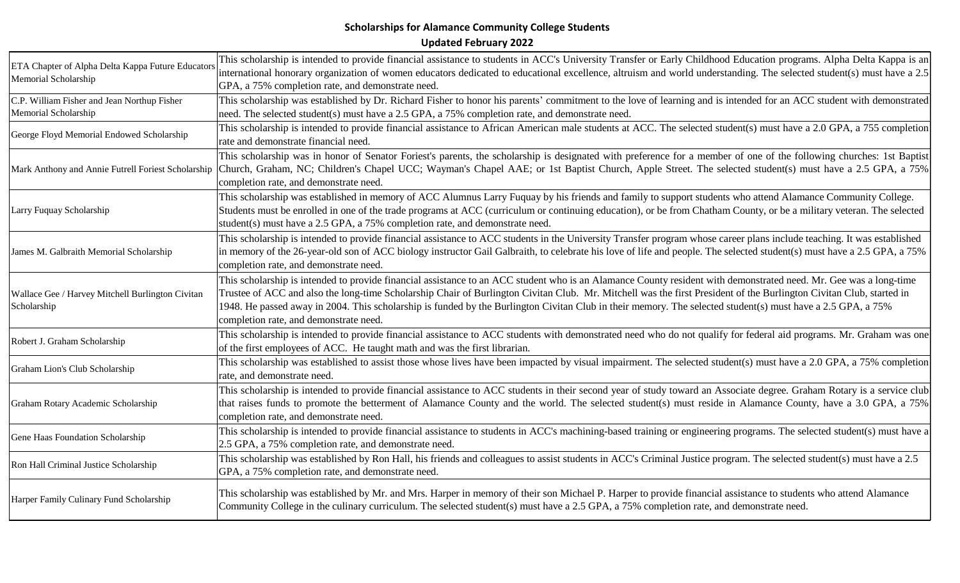| ETA Chapter of Alpha Delta Kappa Future Educators<br>Memorial Scholarship | This scholarship is intended to provide financial assistance to students in ACC's University Transfer or Early Childhood Education programs. Alpha Delta Kappa is an    |
|---------------------------------------------------------------------------|-------------------------------------------------------------------------------------------------------------------------------------------------------------------------|
|                                                                           | international honorary organization of women educators dedicated to educational excellence, altruism and world understanding. The selected student(s) must have a 2.5   |
|                                                                           | GPA, a 75% completion rate, and demonstrate need.                                                                                                                       |
| C.P. William Fisher and Jean Northup Fisher                               | This scholarship was established by Dr. Richard Fisher to honor his parents' commitment to the love of learning and is intended for an ACC student with demonstrated    |
| Memorial Scholarship                                                      | need. The selected student(s) must have a 2.5 GPA, a 75% completion rate, and demonstrate need.                                                                         |
| George Floyd Memorial Endowed Scholarship                                 | This scholarship is intended to provide financial assistance to African American male students at ACC. The selected student(s) must have a 2.0 GPA, a 755 completion    |
|                                                                           | rate and demonstrate financial need.                                                                                                                                    |
|                                                                           | This scholarship was in honor of Senator Foriest's parents, the scholarship is designated with preference for a member of one of the following churches: 1st Baptist    |
| Mark Anthony and Annie Futrell Foriest Scholarship                        | Church, Graham, NC; Children's Chapel UCC; Wayman's Chapel AAE; or 1st Baptist Church, Apple Street. The selected student(s) must have a 2.5 GPA, a 75%                 |
|                                                                           | completion rate, and demonstrate need.                                                                                                                                  |
|                                                                           | This scholarship was established in memory of ACC Alumnus Larry Fuquay by his friends and family to support students who attend Alamance Community College.             |
| Larry Fuquay Scholarship                                                  | Students must be enrolled in one of the trade programs at ACC (curriculum or continuing education), or be from Chatham County, or be a military veteran. The selected   |
|                                                                           | student(s) must have a 2.5 GPA, a 75% completion rate, and demonstrate need.                                                                                            |
|                                                                           | This scholarship is intended to provide financial assistance to ACC students in the University Transfer program whose career plans include teaching. It was established |
| James M. Galbraith Memorial Scholarship                                   | in memory of the 26-year-old son of ACC biology instructor Gail Galbraith, to celebrate his love of life and people. The selected student(s) must have a 2.5 GPA, a 75% |
|                                                                           | completion rate, and demonstrate need.                                                                                                                                  |
|                                                                           | This scholarship is intended to provide financial assistance to an ACC student who is an Alamance County resident with demonstrated need. Mr. Gee was a long-time       |
| Wallace Gee / Harvey Mitchell Burlington Civitan                          | Trustee of ACC and also the long-time Scholarship Chair of Burlington Civitan Club. Mr. Mitchell was the first President of the Burlington Civitan Club, started in     |
| Scholarship                                                               | 1948. He passed away in 2004. This scholarship is funded by the Burlington Civitan Club in their memory. The selected student(s) must have a 2.5 GPA, a 75%             |
|                                                                           | completion rate, and demonstrate need.                                                                                                                                  |
| Robert J. Graham Scholarship                                              | This scholarship is intended to provide financial assistance to ACC students with demonstrated need who do not qualify for federal aid programs. Mr. Graham was one     |
|                                                                           | of the first employees of ACC. He taught math and was the first librarian.                                                                                              |
| Graham Lion's Club Scholarship                                            | This scholarship was established to assist those whose lives have been impacted by visual impairment. The selected student(s) must have a 2.0 GPA, a 75% completion     |
|                                                                           | rate, and demonstrate need.                                                                                                                                             |
|                                                                           | This scholarship is intended to provide financial assistance to ACC students in their second year of study toward an Associate degree. Graham Rotary is a service club  |
| Graham Rotary Academic Scholarship                                        | that raises funds to promote the betterment of Alamance County and the world. The selected student(s) must reside in Alamance County, have a 3.0 GPA, a 75%             |
|                                                                           | completion rate, and demonstrate need.                                                                                                                                  |
| Gene Haas Foundation Scholarship                                          | This scholarship is intended to provide financial assistance to students in ACC's machining-based training or engineering programs. The selected student(s) must have a |
|                                                                           | 2.5 GPA, a 75% completion rate, and demonstrate need.                                                                                                                   |
| Ron Hall Criminal Justice Scholarship                                     | This scholarship was established by Ron Hall, his friends and colleagues to assist students in ACC's Criminal Justice program. The selected student(s) must have a 2.5  |
|                                                                           | GPA, a 75% completion rate, and demonstrate need.                                                                                                                       |
|                                                                           | This scholarship was established by Mr. and Mrs. Harper in memory of their son Michael P. Harper to provide financial assistance to students who attend Alamance        |
| Harper Family Culinary Fund Scholarship                                   | Community College in the culinary curriculum. The selected student(s) must have a 2.5 GPA, a 75% completion rate, and demonstrate need.                                 |
|                                                                           |                                                                                                                                                                         |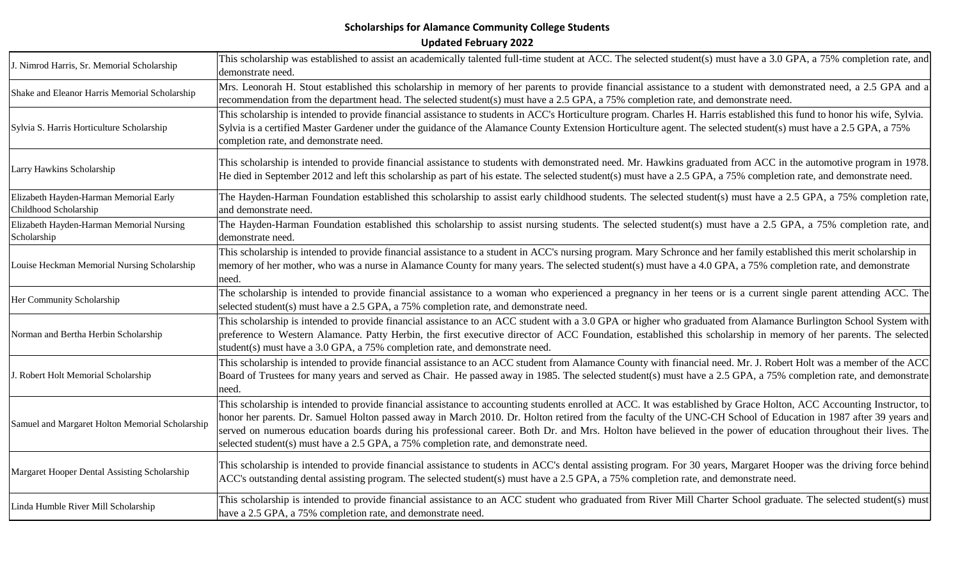| J. Nimrod Harris, Sr. Memorial Scholarship                      | This scholarship was established to assist an academically talented full-time student at ACC. The selected student(s) must have a 3.0 GPA, a 75% completion rate, and<br>demonstrate need.                                                                                                                                                                                                                                                                                                                                                                                                              |
|-----------------------------------------------------------------|---------------------------------------------------------------------------------------------------------------------------------------------------------------------------------------------------------------------------------------------------------------------------------------------------------------------------------------------------------------------------------------------------------------------------------------------------------------------------------------------------------------------------------------------------------------------------------------------------------|
| Shake and Eleanor Harris Memorial Scholarship                   | Mrs. Leonorah H. Stout established this scholarship in memory of her parents to provide financial assistance to a student with demonstrated need, a 2.5 GPA and a<br>recommendation from the department head. The selected student(s) must have a 2.5 GPA, a 75% completion rate, and demonstrate need.                                                                                                                                                                                                                                                                                                 |
| Sylvia S. Harris Horticulture Scholarship                       | This scholarship is intended to provide financial assistance to students in ACC's Horticulture program. Charles H. Harris established this fund to honor his wife, Sylvia.<br>Sylvia is a certified Master Gardener under the guidance of the Alamance County Extension Horticulture agent. The selected student(s) must have a 2.5 GPA, a 75%<br>completion rate, and demonstrate need.                                                                                                                                                                                                                |
| Larry Hawkins Scholarship                                       | This scholarship is intended to provide financial assistance to students with demonstrated need. Mr. Hawkins graduated from ACC in the automotive program in 1978.<br>He died in September 2012 and left this scholarship as part of his estate. The selected student(s) must have a 2.5 GPA, a 75% completion rate, and demonstrate need.                                                                                                                                                                                                                                                              |
| Elizabeth Hayden-Harman Memorial Early<br>Childhood Scholarship | The Hayden-Harman Foundation established this scholarship to assist early childhood students. The selected student(s) must have a 2.5 GPA, a 75% completion rate,<br>and demonstrate need.                                                                                                                                                                                                                                                                                                                                                                                                              |
| Elizabeth Hayden-Harman Memorial Nursing<br>Scholarship         | The Hayden-Harman Foundation established this scholarship to assist nursing students. The selected student(s) must have a 2.5 GPA, a 75% completion rate, and<br>demonstrate need.                                                                                                                                                                                                                                                                                                                                                                                                                      |
| Louise Heckman Memorial Nursing Scholarship                     | This scholarship is intended to provide financial assistance to a student in ACC's nursing program. Mary Schronce and her family established this merit scholarship in<br>memory of her mother, who was a nurse in Alamance County for many years. The selected student(s) must have a 4.0 GPA, a 75% completion rate, and demonstrate<br>need.                                                                                                                                                                                                                                                         |
| Her Community Scholarship                                       | The scholarship is intended to provide financial assistance to a woman who experienced a pregnancy in her teens or is a current single parent attending ACC. The<br>selected student(s) must have a 2.5 GPA, a 75% completion rate, and demonstrate need.                                                                                                                                                                                                                                                                                                                                               |
| Norman and Bertha Herbin Scholarship                            | This scholarship is intended to provide financial assistance to an ACC student with a 3.0 GPA or higher who graduated from Alamance Burlington School System with<br>preference to Western Alamance. Patty Herbin, the first executive director of ACC Foundation, established this scholarship in memory of her parents. The selected<br>student(s) must have a 3.0 GPA, a 75% completion rate, and demonstrate need.                                                                                                                                                                                  |
| J. Robert Holt Memorial Scholarship                             | This scholarship is intended to provide financial assistance to an ACC student from Alamance County with financial need. Mr. J. Robert Holt was a member of the ACC<br>Board of Trustees for many years and served as Chair. He passed away in 1985. The selected student(s) must have a 2.5 GPA, a 75% completion rate, and demonstrate<br>need.                                                                                                                                                                                                                                                       |
| Samuel and Margaret Holton Memorial Scholarship                 | This scholarship is intended to provide financial assistance to accounting students enrolled at ACC. It was established by Grace Holton, ACC Accounting Instructor, to<br>honor her parents. Dr. Samuel Holton passed away in March 2010. Dr. Holton retired from the faculty of the UNC-CH School of Education in 1987 after 39 years and<br>served on numerous education boards during his professional career. Both Dr. and Mrs. Holton have believed in the power of education throughout their lives. The<br>selected student(s) must have a 2.5 GPA, a 75% completion rate, and demonstrate need. |
| Margaret Hooper Dental Assisting Scholarship                    | This scholarship is intended to provide financial assistance to students in ACC's dental assisting program. For 30 years, Margaret Hooper was the driving force behind<br>ACC's outstanding dental assisting program. The selected student(s) must have a 2.5 GPA, a 75% completion rate, and demonstrate need.                                                                                                                                                                                                                                                                                         |
| Linda Humble River Mill Scholarship                             | This scholarship is intended to provide financial assistance to an ACC student who graduated from River Mill Charter School graduate. The selected student(s) must<br>have a 2.5 GPA, a 75% completion rate, and demonstrate need.                                                                                                                                                                                                                                                                                                                                                                      |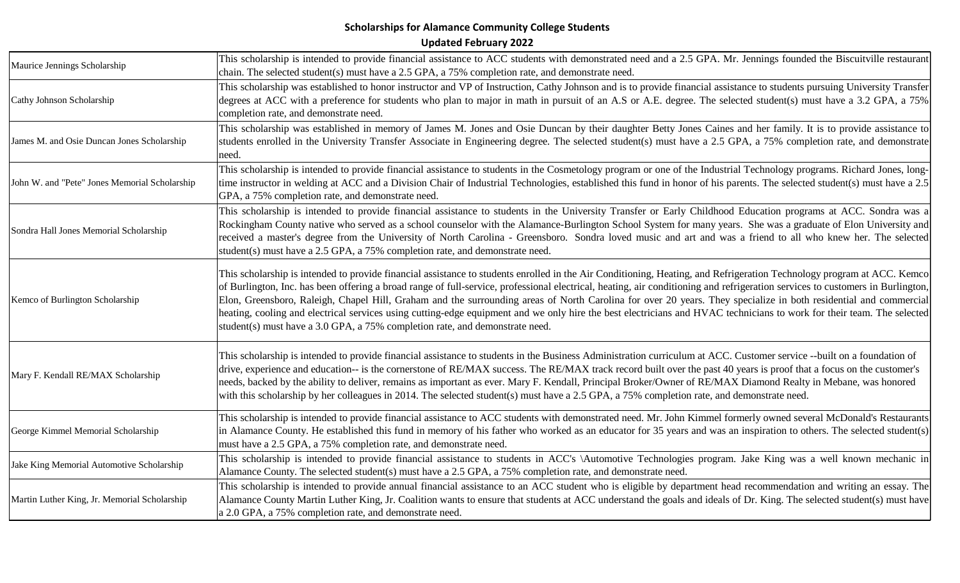| Maurice Jennings Scholarship                  | This scholarship is intended to provide financial assistance to ACC students with demonstrated need and a 2.5 GPA. Mr. Jennings founded the Biscuitville restaurant<br>chain. The selected student(s) must have a 2.5 GPA, a 75% completion rate, and demonstrate need.                                                                                                                                                                                                                                                                                                                                                                                                                                                                                                                |
|-----------------------------------------------|----------------------------------------------------------------------------------------------------------------------------------------------------------------------------------------------------------------------------------------------------------------------------------------------------------------------------------------------------------------------------------------------------------------------------------------------------------------------------------------------------------------------------------------------------------------------------------------------------------------------------------------------------------------------------------------------------------------------------------------------------------------------------------------|
| Cathy Johnson Scholarship                     | This scholarship was established to honor instructor and VP of Instruction, Cathy Johnson and is to provide financial assistance to students pursuing University Transfer<br>degrees at ACC with a preference for students who plan to major in math in pursuit of an A.S or A.E. degree. The selected student(s) must have a 3.2 GPA, a 75%<br>completion rate, and demonstrate need.                                                                                                                                                                                                                                                                                                                                                                                                 |
| James M. and Osie Duncan Jones Scholarship    | This scholarship was established in memory of James M. Jones and Osie Duncan by their daughter Betty Jones Caines and her family. It is to provide assistance to<br>students enrolled in the University Transfer Associate in Engineering degree. The selected student(s) must have a 2.5 GPA, a 75% completion rate, and demonstrate<br>need.                                                                                                                                                                                                                                                                                                                                                                                                                                         |
| John W. and "Pete" Jones Memorial Scholarship | This scholarship is intended to provide financial assistance to students in the Cosmetology program or one of the Industrial Technology programs. Richard Jones, long-<br>time instructor in welding at ACC and a Division Chair of Industrial Technologies, established this fund in honor of his parents. The selected student(s) must have a 2.5<br>GPA, a 75% completion rate, and demonstrate need.                                                                                                                                                                                                                                                                                                                                                                               |
| Sondra Hall Jones Memorial Scholarship        | This scholarship is intended to provide financial assistance to students in the University Transfer or Early Childhood Education programs at ACC. Sondra was a<br>Rockingham County native who served as a school counselor with the Alamance-Burlington School System for many years. She was a graduate of Elon University and<br>received a master's degree from the University of North Carolina - Greensboro. Sondra loved music and art and was a friend to all who knew her. The selected<br>student(s) must have a 2.5 GPA, a 75% completion rate, and demonstrate need.                                                                                                                                                                                                       |
| Kemco of Burlington Scholarship               | This scholarship is intended to provide financial assistance to students enrolled in the Air Conditioning, Heating, and Refrigeration Technology program at ACC. Kemco<br>of Burlington, Inc. has been offering a broad range of full-service, professional electrical, heating, air conditioning and refrigeration services to customers in Burlington,<br>Elon, Greensboro, Raleigh, Chapel Hill, Graham and the surrounding areas of North Carolina for over 20 years. They specialize in both residential and commercial<br>heating, cooling and electrical services using cutting-edge equipment and we only hire the best electricians and HVAC technicians to work for their team. The selected<br>student(s) must have a 3.0 GPA, a 75% completion rate, and demonstrate need. |
| Mary F. Kendall RE/MAX Scholarship            | This scholarship is intended to provide financial assistance to students in the Business Administration curriculum at ACC. Customer service --built on a foundation of<br>drive, experience and education-- is the cornerstone of RE/MAX success. The RE/MAX track record built over the past 40 years is proof that a focus on the customer's<br>needs, backed by the ability to deliver, remains as important as ever. Mary F. Kendall, Principal Broker/Owner of RE/MAX Diamond Realty in Mebane, was honored<br>with this scholarship by her colleagues in 2014. The selected student(s) must have a 2.5 GPA, a 75% completion rate, and demonstrate need.                                                                                                                         |
| George Kimmel Memorial Scholarship            | This scholarship is intended to provide financial assistance to ACC students with demonstrated need. Mr. John Kimmel formerly owned several McDonald's Restaurants<br>in Alamance County. He established this fund in memory of his father who worked as an educator for 35 years and was an inspiration to others. The selected student(s)<br>must have a 2.5 GPA, a 75% completion rate, and demonstrate need.                                                                                                                                                                                                                                                                                                                                                                       |
| Jake King Memorial Automotive Scholarship     | This scholarship is intended to provide financial assistance to students in ACC's \Automotive Technologies program. Jake King was a well known mechanic in<br>Alamance County. The selected student(s) must have a 2.5 GPA, a 75% completion rate, and demonstrate need.                                                                                                                                                                                                                                                                                                                                                                                                                                                                                                               |
| Martin Luther King, Jr. Memorial Scholarship  | This scholarship is intended to provide annual financial assistance to an ACC student who is eligible by department head recommendation and writing an essay. The<br>Alamance County Martin Luther King, Jr. Coalition wants to ensure that students at ACC understand the goals and ideals of Dr. King. The selected student(s) must have<br>a 2.0 GPA, a 75% completion rate, and demonstrate need.                                                                                                                                                                                                                                                                                                                                                                                  |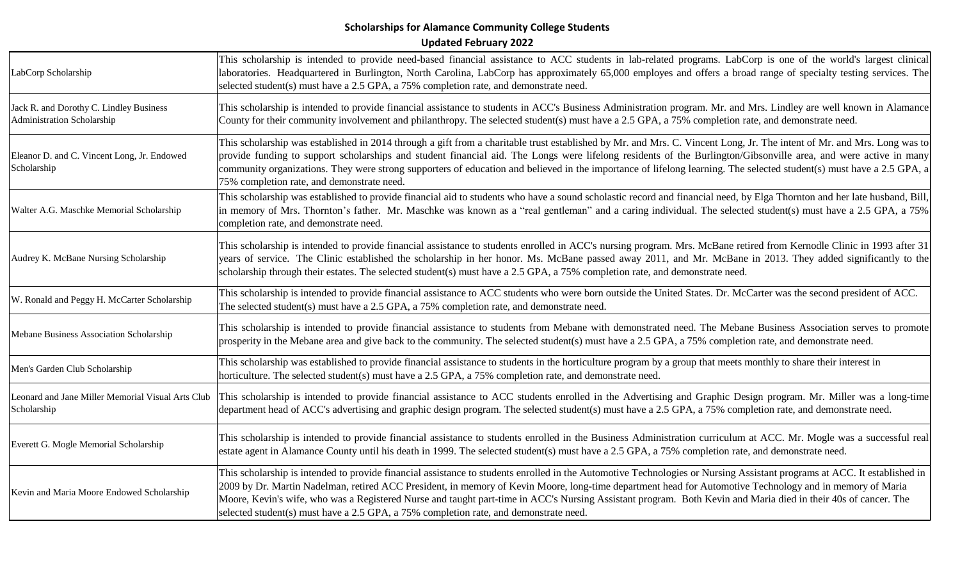| LabCorp Scholarship                                                   | This scholarship is intended to provide need-based financial assistance to ACC students in lab-related programs. LabCorp is one of the world's largest clinical<br>laboratories. Headquartered in Burlington, North Carolina, LabCorp has approximately 65,000 employes and offers a broad range of specialty testing services. The<br>selected student(s) must have a 2.5 GPA, a 75% completion rate, and demonstrate need.                                                                                                                                                                    |
|-----------------------------------------------------------------------|-------------------------------------------------------------------------------------------------------------------------------------------------------------------------------------------------------------------------------------------------------------------------------------------------------------------------------------------------------------------------------------------------------------------------------------------------------------------------------------------------------------------------------------------------------------------------------------------------|
| Jack R. and Dorothy C. Lindley Business<br>Administration Scholarship | This scholarship is intended to provide financial assistance to students in ACC's Business Administration program. Mr. and Mrs. Lindley are well known in Alamance<br>County for their community involvement and philanthropy. The selected student(s) must have a 2.5 GPA, a 75% completion rate, and demonstrate need.                                                                                                                                                                                                                                                                        |
| Eleanor D. and C. Vincent Long, Jr. Endowed<br>Scholarship            | This scholarship was established in 2014 through a gift from a charitable trust established by Mr. and Mrs. C. Vincent Long, Jr. The intent of Mr. and Mrs. Long was to<br>provide funding to support scholarships and student financial aid. The Longs were lifelong residents of the Burlington/Gibsonville area, and were active in many<br>community organizations. They were strong supporters of education and believed in the importance of lifelong learning. The selected student(s) must have a 2.5 GPA, a<br>75% completion rate, and demonstrate need.                              |
| Walter A.G. Maschke Memorial Scholarship                              | This scholarship was established to provide financial aid to students who have a sound scholastic record and financial need, by Elga Thornton and her late husband, Bill,<br>in memory of Mrs. Thornton's father. Mr. Maschke was known as a "real gentleman" and a caring individual. The selected student(s) must have a 2.5 GPA, a 75%<br>completion rate, and demonstrate need.                                                                                                                                                                                                             |
| Audrey K. McBane Nursing Scholarship                                  | This scholarship is intended to provide financial assistance to students enrolled in ACC's nursing program. Mrs. McBane retired from Kernodle Clinic in 1993 after 31<br>years of service. The Clinic established the scholarship in her honor. Ms. McBane passed away 2011, and Mr. McBane in 2013. They added significantly to the<br>scholarship through their estates. The selected student(s) must have a 2.5 GPA, a 75% completion rate, and demonstrate need.                                                                                                                            |
| W. Ronald and Peggy H. McCarter Scholarship                           | This scholarship is intended to provide financial assistance to ACC students who were born outside the United States. Dr. McCarter was the second president of ACC.<br>The selected student(s) must have a 2.5 GPA, a 75% completion rate, and demonstrate need.                                                                                                                                                                                                                                                                                                                                |
| Mebane Business Association Scholarship                               | This scholarship is intended to provide financial assistance to students from Mebane with demonstrated need. The Mebane Business Association serves to promote<br>prosperity in the Mebane area and give back to the community. The selected student(s) must have a 2.5 GPA, a 75% completion rate, and demonstrate need.                                                                                                                                                                                                                                                                       |
| Men's Garden Club Scholarship                                         | This scholarship was established to provide financial assistance to students in the horticulture program by a group that meets monthly to share their interest in<br>horticulture. The selected student(s) must have a 2.5 GPA, a 75% completion rate, and demonstrate need.                                                                                                                                                                                                                                                                                                                    |
| Leonard and Jane Miller Memorial Visual Arts Club<br>Scholarship      | This scholarship is intended to provide financial assistance to ACC students enrolled in the Advertising and Graphic Design program. Mr. Miller was a long-time<br>department head of ACC's advertising and graphic design program. The selected student(s) must have a 2.5 GPA, a 75% completion rate, and demonstrate need.                                                                                                                                                                                                                                                                   |
| Everett G. Mogle Memorial Scholarship                                 | This scholarship is intended to provide financial assistance to students enrolled in the Business Administration curriculum at ACC. Mr. Mogle was a successful real<br>estate agent in Alamance County until his death in 1999. The selected student(s) must have a 2.5 GPA, a 75% completion rate, and demonstrate need.                                                                                                                                                                                                                                                                       |
| Kevin and Maria Moore Endowed Scholarship                             | This scholarship is intended to provide financial assistance to students enrolled in the Automotive Technologies or Nursing Assistant programs at ACC. It established in<br>2009 by Dr. Martin Nadelman, retired ACC President, in memory of Kevin Moore, long-time department head for Automotive Technology and in memory of Maria<br>Moore, Kevin's wife, who was a Registered Nurse and taught part-time in ACC's Nursing Assistant program. Both Kevin and Maria died in their 40s of cancer. The<br>selected student(s) must have a 2.5 GPA, a 75% completion rate, and demonstrate need. |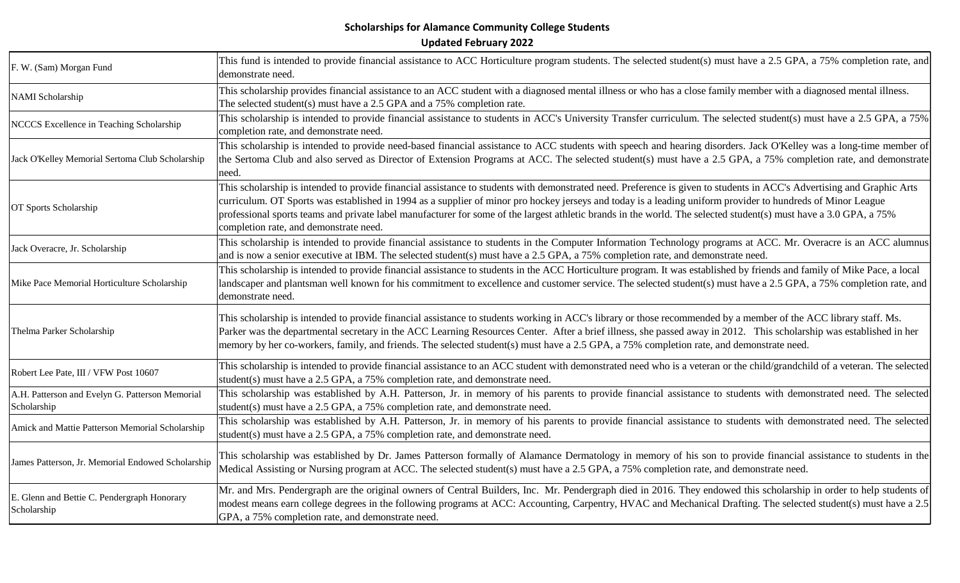| F. W. (Sam) Morgan Fund                                        | This fund is intended to provide financial assistance to ACC Horticulture program students. The selected student(s) must have a 2.5 GPA, a 75% completion rate, and<br>demonstrate need.                                                                                                                                                                                                                                                                                                                                                             |
|----------------------------------------------------------------|------------------------------------------------------------------------------------------------------------------------------------------------------------------------------------------------------------------------------------------------------------------------------------------------------------------------------------------------------------------------------------------------------------------------------------------------------------------------------------------------------------------------------------------------------|
| <b>NAMI</b> Scholarship                                        | This scholarship provides financial assistance to an ACC student with a diagnosed mental illness or who has a close family member with a diagnosed mental illness.<br>The selected student(s) must have a 2.5 GPA and a 75% completion rate.                                                                                                                                                                                                                                                                                                         |
| NCCCS Excellence in Teaching Scholarship                       | This scholarship is intended to provide financial assistance to students in ACC's University Transfer curriculum. The selected student(s) must have a 2.5 GPA, a 75%<br>completion rate, and demonstrate need.                                                                                                                                                                                                                                                                                                                                       |
| Jack O'Kelley Memorial Sertoma Club Scholarship                | This scholarship is intended to provide need-based financial assistance to ACC students with speech and hearing disorders. Jack O'Kelley was a long-time member of<br>the Sertoma Club and also served as Director of Extension Programs at ACC. The selected student(s) must have a 2.5 GPA, a 75% completion rate, and demonstrate<br>need.                                                                                                                                                                                                        |
| OT Sports Scholarship                                          | This scholarship is intended to provide financial assistance to students with demonstrated need. Preference is given to students in ACC's Advertising and Graphic Arts<br>curriculum. OT Sports was established in 1994 as a supplier of minor pro hockey jerseys and today is a leading uniform provider to hundreds of Minor League<br>professional sports teams and private label manufacturer for some of the largest athletic brands in the world. The selected student(s) must have a 3.0 GPA, a 75%<br>completion rate, and demonstrate need. |
| Jack Overacre, Jr. Scholarship                                 | This scholarship is intended to provide financial assistance to students in the Computer Information Technology programs at ACC. Mr. Overacre is an ACC alumnus<br>and is now a senior executive at IBM. The selected student(s) must have a 2.5 GPA, a 75% completion rate, and demonstrate need.                                                                                                                                                                                                                                                   |
| Mike Pace Memorial Horticulture Scholarship                    | This scholarship is intended to provide financial assistance to students in the ACC Horticulture program. It was established by friends and family of Mike Pace, a local<br>landscaper and plantsman well known for his commitment to excellence and customer service. The selected student(s) must have a 2.5 GPA, a 75% completion rate, and<br>demonstrate need.                                                                                                                                                                                  |
| Thelma Parker Scholarship                                      | This scholarship is intended to provide financial assistance to students working in ACC's library or those recommended by a member of the ACC library staff. Ms.<br>Parker was the departmental secretary in the ACC Learning Resources Center. After a brief illness, she passed away in 2012. This scholarship was established in her<br>memory by her co-workers, family, and friends. The selected student(s) must have a 2.5 GPA, a 75% completion rate, and demonstrate need.                                                                  |
| Robert Lee Pate, III / VFW Post 10607                          | This scholarship is intended to provide financial assistance to an ACC student with demonstrated need who is a veteran or the child/grandchild of a veteran. The selected<br>student(s) must have a 2.5 GPA, a 75% completion rate, and demonstrate need.                                                                                                                                                                                                                                                                                            |
| A.H. Patterson and Evelyn G. Patterson Memorial<br>Scholarship | This scholarship was established by A.H. Patterson, Jr. in memory of his parents to provide financial assistance to students with demonstrated need. The selected<br>student(s) must have a 2.5 GPA, a 75% completion rate, and demonstrate need.                                                                                                                                                                                                                                                                                                    |
| Amick and Mattie Patterson Memorial Scholarship                | This scholarship was established by A.H. Patterson, Jr. in memory of his parents to provide financial assistance to students with demonstrated need. The selected<br>student(s) must have a 2.5 GPA, a 75% completion rate, and demonstrate need.                                                                                                                                                                                                                                                                                                    |
| James Patterson, Jr. Memorial Endowed Scholarship              | This scholarship was established by Dr. James Patterson formally of Alamance Dermatology in memory of his son to provide financial assistance to students in the<br>Medical Assisting or Nursing program at ACC. The selected student(s) must have a 2.5 GPA, a 75% completion rate, and demonstrate need.                                                                                                                                                                                                                                           |
| E. Glenn and Bettie C. Pendergraph Honorary<br>Scholarship     | Mr. and Mrs. Pendergraph are the original owners of Central Builders, Inc. Mr. Pendergraph died in 2016. They endowed this scholarship in order to help students of<br>modest means earn college degrees in the following programs at ACC: Accounting, Carpentry, HVAC and Mechanical Drafting. The selected student(s) must have a 2.5<br>GPA, a 75% completion rate, and demonstrate need.                                                                                                                                                         |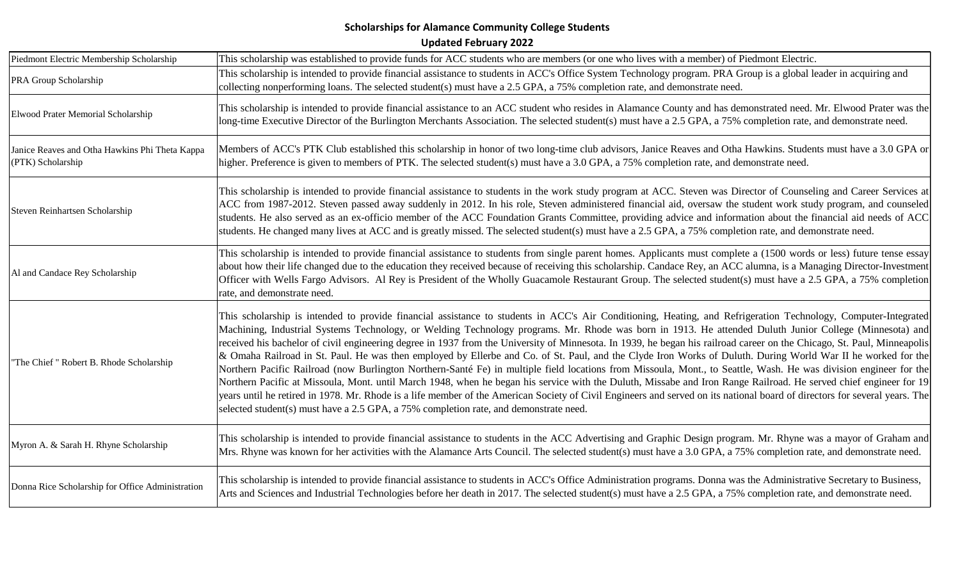| Piedmont Electric Membership Scholarship                            | This scholarship was established to provide funds for ACC students who are members (or one who lives with a member) of Piedmont Electric.                                                                                                                                                                                                                                                                                                                                                                                                                                                                                                                                                                                                                                                                                                                                                                                                                                                                                                                                                                                                                                                                                                                                             |
|---------------------------------------------------------------------|---------------------------------------------------------------------------------------------------------------------------------------------------------------------------------------------------------------------------------------------------------------------------------------------------------------------------------------------------------------------------------------------------------------------------------------------------------------------------------------------------------------------------------------------------------------------------------------------------------------------------------------------------------------------------------------------------------------------------------------------------------------------------------------------------------------------------------------------------------------------------------------------------------------------------------------------------------------------------------------------------------------------------------------------------------------------------------------------------------------------------------------------------------------------------------------------------------------------------------------------------------------------------------------|
| PRA Group Scholarship                                               | This scholarship is intended to provide financial assistance to students in ACC's Office System Technology program. PRA Group is a global leader in acquiring and<br>collecting nonperforming loans. The selected student(s) must have a 2.5 GPA, a 75% completion rate, and demonstrate need.                                                                                                                                                                                                                                                                                                                                                                                                                                                                                                                                                                                                                                                                                                                                                                                                                                                                                                                                                                                        |
| Elwood Prater Memorial Scholarship                                  | This scholarship is intended to provide financial assistance to an ACC student who resides in Alamance County and has demonstrated need. Mr. Elwood Prater was the<br>long-time Executive Director of the Burlington Merchants Association. The selected student(s) must have a 2.5 GPA, a 75% completion rate, and demonstrate need.                                                                                                                                                                                                                                                                                                                                                                                                                                                                                                                                                                                                                                                                                                                                                                                                                                                                                                                                                 |
| Janice Reaves and Otha Hawkins Phi Theta Kappa<br>(PTK) Scholarship | Members of ACC's PTK Club established this scholarship in honor of two long-time club advisors, Janice Reaves and Otha Hawkins. Students must have a 3.0 GPA or<br>higher. Preference is given to members of PTK. The selected student(s) must have a 3.0 GPA, a 75% completion rate, and demonstrate need.                                                                                                                                                                                                                                                                                                                                                                                                                                                                                                                                                                                                                                                                                                                                                                                                                                                                                                                                                                           |
| Steven Reinhartsen Scholarship                                      | This scholarship is intended to provide financial assistance to students in the work study program at ACC. Steven was Director of Counseling and Career Services at<br>ACC from 1987-2012. Steven passed away suddenly in 2012. In his role, Steven administered financial aid, oversaw the student work study program, and counseled<br>students. He also served as an ex-officio member of the ACC Foundation Grants Committee, providing advice and information about the financial aid needs of ACC<br>students. He changed many lives at ACC and is greatly missed. The selected student(s) must have a 2.5 GPA, a 75% completion rate, and demonstrate need.                                                                                                                                                                                                                                                                                                                                                                                                                                                                                                                                                                                                                    |
| Al and Candace Rey Scholarship                                      | This scholarship is intended to provide financial assistance to students from single parent homes. Applicants must complete a (1500 words or less) future tense essay<br>about how their life changed due to the education they received because of receiving this scholarship. Candace Rey, an ACC alumna, is a Managing Director-Investment<br>Officer with Wells Fargo Advisors. Al Rey is President of the Wholly Guacamole Restaurant Group. The selected student(s) must have a 2.5 GPA, a 75% completion<br>rate, and demonstrate need.                                                                                                                                                                                                                                                                                                                                                                                                                                                                                                                                                                                                                                                                                                                                        |
| "The Chief " Robert B. Rhode Scholarship                            | This scholarship is intended to provide financial assistance to students in ACC's Air Conditioning, Heating, and Refrigeration Technology, Computer-Integrated<br>Machining, Industrial Systems Technology, or Welding Technology programs. Mr. Rhode was born in 1913. He attended Duluth Junior College (Minnesota) and<br>received his bachelor of civil engineering degree in 1937 from the University of Minnesota. In 1939, he began his railroad career on the Chicago, St. Paul, Minneapolis<br>& Omaha Railroad in St. Paul. He was then employed by Ellerbe and Co. of St. Paul, and the Clyde Iron Works of Duluth. During World War II he worked for the<br>Northern Pacific Railroad (now Burlington Northern-Santé Fe) in multiple field locations from Missoula, Mont., to Seattle, Wash. He was division engineer for the<br>Northern Pacific at Missoula, Mont. until March 1948, when he began his service with the Duluth, Missabe and Iron Range Railroad. He served chief engineer for 19<br>years until he retired in 1978. Mr. Rhode is a life member of the American Society of Civil Engineers and served on its national board of directors for several years. The<br>selected student(s) must have a 2.5 GPA, a 75% completion rate, and demonstrate need. |
| Myron A. & Sarah H. Rhyne Scholarship                               | This scholarship is intended to provide financial assistance to students in the ACC Advertising and Graphic Design program. Mr. Rhyne was a mayor of Graham and<br>Mrs. Rhyne was known for her activities with the Alamance Arts Council. The selected student(s) must have a 3.0 GPA, a 75% completion rate, and demonstrate need.                                                                                                                                                                                                                                                                                                                                                                                                                                                                                                                                                                                                                                                                                                                                                                                                                                                                                                                                                  |
| Donna Rice Scholarship for Office Administration                    | This scholarship is intended to provide financial assistance to students in ACC's Office Administration programs. Donna was the Administrative Secretary to Business,<br>Arts and Sciences and Industrial Technologies before her death in 2017. The selected student(s) must have a 2.5 GPA, a 75% completion rate, and demonstrate need.                                                                                                                                                                                                                                                                                                                                                                                                                                                                                                                                                                                                                                                                                                                                                                                                                                                                                                                                            |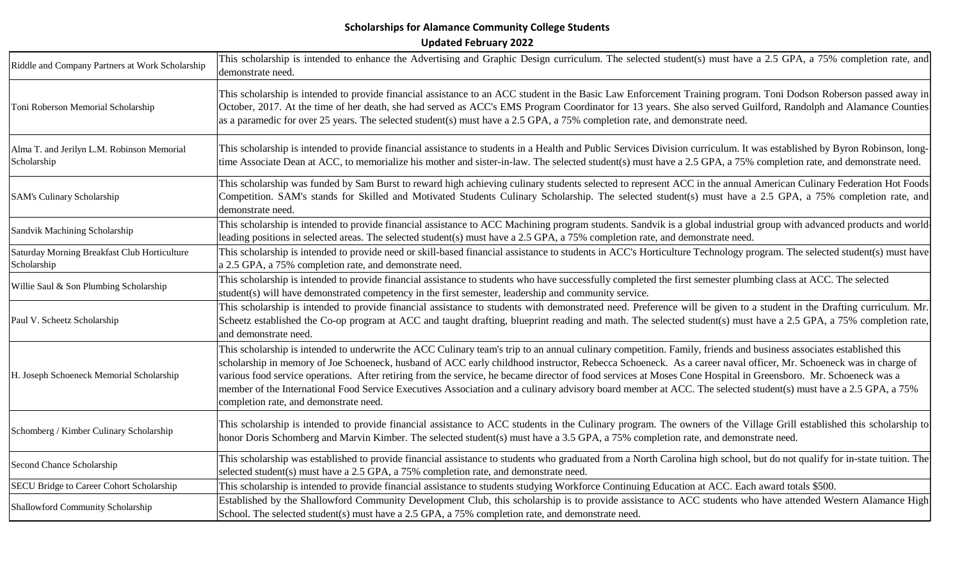| Riddle and Company Partners at Work Scholarship             | This scholarship is intended to enhance the Advertising and Graphic Design curriculum. The selected student(s) must have a 2.5 GPA, a 75% completion rate, and<br>demonstrate need.                                                                                                                                                                                                                                                                                                                                                                                                                                                                                                                                    |
|-------------------------------------------------------------|------------------------------------------------------------------------------------------------------------------------------------------------------------------------------------------------------------------------------------------------------------------------------------------------------------------------------------------------------------------------------------------------------------------------------------------------------------------------------------------------------------------------------------------------------------------------------------------------------------------------------------------------------------------------------------------------------------------------|
| Toni Roberson Memorial Scholarship                          | This scholarship is intended to provide financial assistance to an ACC student in the Basic Law Enforcement Training program. Toni Dodson Roberson passed away in<br>October, 2017. At the time of her death, she had served as ACC's EMS Program Coordinator for 13 years. She also served Guilford, Randolph and Alamance Counties<br>as a paramedic for over 25 years. The selected student(s) must have a 2.5 GPA, a 75% completion rate, and demonstrate need.                                                                                                                                                                                                                                                    |
| Alma T. and Jerilyn L.M. Robinson Memorial<br>Scholarship   | This scholarship is intended to provide financial assistance to students in a Health and Public Services Division curriculum. It was established by Byron Robinson, long-<br>time Associate Dean at ACC, to memorialize his mother and sister-in-law. The selected student(s) must have a 2.5 GPA, a 75% completion rate, and demonstrate need.                                                                                                                                                                                                                                                                                                                                                                        |
| <b>SAM's Culinary Scholarship</b>                           | This scholarship was funded by Sam Burst to reward high achieving culinary students selected to represent ACC in the annual American Culinary Federation Hot Foods<br>Competition. SAM's stands for Skilled and Motivated Students Culinary Scholarship. The selected student(s) must have a 2.5 GPA, a 75% completion rate, and<br>demonstrate need.                                                                                                                                                                                                                                                                                                                                                                  |
| Sandvik Machining Scholarship                               | This scholarship is intended to provide financial assistance to ACC Machining program students. Sandvik is a global industrial group with advanced products and world<br>leading positions in selected areas. The selected student(s) must have a 2.5 GPA, a 75% completion rate, and demonstrate need.                                                                                                                                                                                                                                                                                                                                                                                                                |
| Saturday Morning Breakfast Club Horticulture<br>Scholarship | This scholarship is intended to provide need or skill-based financial assistance to students in ACC's Horticulture Technology program. The selected student(s) must have<br>a 2.5 GPA, a 75% completion rate, and demonstrate need.                                                                                                                                                                                                                                                                                                                                                                                                                                                                                    |
| Willie Saul & Son Plumbing Scholarship                      | This scholarship is intended to provide financial assistance to students who have successfully completed the first semester plumbing class at ACC. The selected<br>student(s) will have demonstrated competency in the first semester, leadership and community service.                                                                                                                                                                                                                                                                                                                                                                                                                                               |
| Paul V. Scheetz Scholarship                                 | This scholarship is intended to provide financial assistance to students with demonstrated need. Preference will be given to a student in the Drafting curriculum. Mr.<br>Scheetz established the Co-op program at ACC and taught drafting, blueprint reading and math. The selected student(s) must have a 2.5 GPA, a 75% completion rate,<br>and demonstrate need.                                                                                                                                                                                                                                                                                                                                                   |
| H. Joseph Schoeneck Memorial Scholarship                    | This scholarship is intended to underwrite the ACC Culinary team's trip to an annual culinary competition. Family, friends and business associates established this<br>scholarship in memory of Joe Schoeneck, husband of ACC early childhood instructor, Rebecca Schoeneck. As a career naval officer, Mr. Schoeneck was in charge of<br>various food service operations. After retiring from the service, he became director of food services at Moses Cone Hospital in Greensboro. Mr. Schoeneck was a<br>member of the International Food Service Executives Association and a culinary advisory board member at ACC. The selected student(s) must have a 2.5 GPA, a 75%<br>completion rate, and demonstrate need. |
| Schomberg / Kimber Culinary Scholarship                     | This scholarship is intended to provide financial assistance to ACC students in the Culinary program. The owners of the Village Grill established this scholarship to<br>honor Doris Schomberg and Marvin Kimber. The selected student(s) must have a 3.5 GPA, a 75% completion rate, and demonstrate need.                                                                                                                                                                                                                                                                                                                                                                                                            |
| Second Chance Scholarship                                   | This scholarship was established to provide financial assistance to students who graduated from a North Carolina high school, but do not qualify for in-state tuition. The<br>selected student(s) must have a 2.5 GPA, a 75% completion rate, and demonstrate need.                                                                                                                                                                                                                                                                                                                                                                                                                                                    |
| SECU Bridge to Career Cohort Scholarship                    | This scholarship is intended to provide financial assistance to students studying Workforce Continuing Education at ACC. Each award totals \$500.                                                                                                                                                                                                                                                                                                                                                                                                                                                                                                                                                                      |
| Shallowford Community Scholarship                           | Established by the Shallowford Community Development Club, this scholarship is to provide assistance to ACC students who have attended Western Alamance High<br>School. The selected student(s) must have a 2.5 GPA, a 75% completion rate, and demonstrate need.                                                                                                                                                                                                                                                                                                                                                                                                                                                      |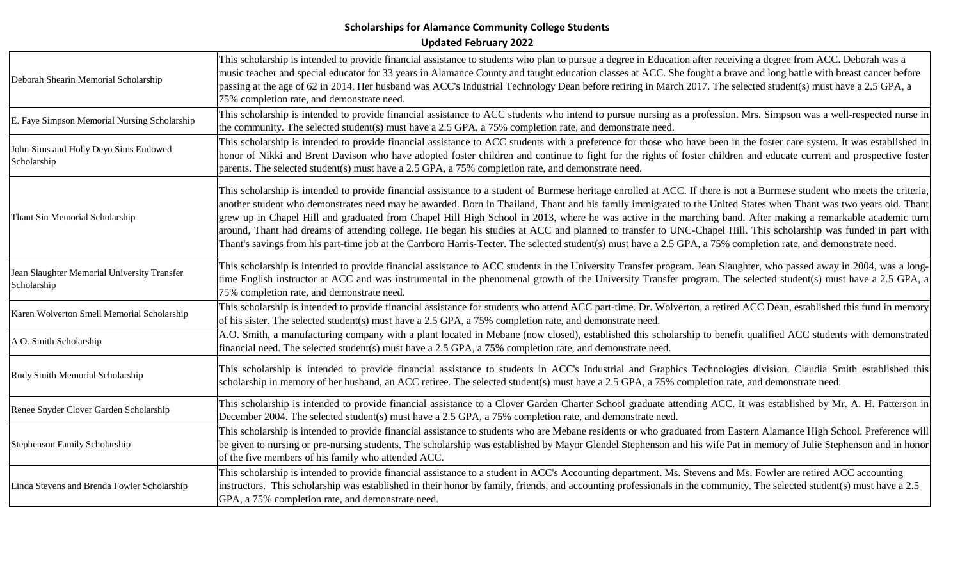| Deborah Shearin Memorial Scholarship                       | This scholarship is intended to provide financial assistance to students who plan to pursue a degree in Education after receiving a degree from ACC. Deborah was a<br>music teacher and special educator for 33 years in Alamance County and taught education classes at ACC. She fought a brave and long battle with breast cancer before<br>passing at the age of 62 in 2014. Her husband was ACC's Industrial Technology Dean before retiring in March 2017. The selected student(s) must have a 2.5 GPA, a<br>75% completion rate, and demonstrate need.                                                                                                                                                                                                                                                                                       |
|------------------------------------------------------------|----------------------------------------------------------------------------------------------------------------------------------------------------------------------------------------------------------------------------------------------------------------------------------------------------------------------------------------------------------------------------------------------------------------------------------------------------------------------------------------------------------------------------------------------------------------------------------------------------------------------------------------------------------------------------------------------------------------------------------------------------------------------------------------------------------------------------------------------------|
| E. Faye Simpson Memorial Nursing Scholarship               | This scholarship is intended to provide financial assistance to ACC students who intend to pursue nursing as a profession. Mrs. Simpson was a well-respected nurse in<br>the community. The selected student(s) must have a 2.5 GPA, a 75% completion rate, and demonstrate need.                                                                                                                                                                                                                                                                                                                                                                                                                                                                                                                                                                  |
| John Sims and Holly Deyo Sims Endowed<br>Scholarship       | This scholarship is intended to provide financial assistance to ACC students with a preference for those who have been in the foster care system. It was established in<br>honor of Nikki and Brent Davison who have adopted foster children and continue to fight for the rights of foster children and educate current and prospective foster<br>parents. The selected student(s) must have a 2.5 GPA, a 75% completion rate, and demonstrate need.                                                                                                                                                                                                                                                                                                                                                                                              |
| Thant Sin Memorial Scholarship                             | This scholarship is intended to provide financial assistance to a student of Burmese heritage enrolled at ACC. If there is not a Burmese student who meets the criteria,<br>another student who demonstrates need may be awarded. Born in Thailand, Thant and his family immigrated to the United States when Thant was two years old. Thant<br>grew up in Chapel Hill and graduated from Chapel Hill High School in 2013, where he was active in the marching band. After making a remarkable academic turn<br>around, Thant had dreams of attending college. He began his studies at ACC and planned to transfer to UNC-Chapel Hill. This scholarship was funded in part with<br>Thant's savings from his part-time job at the Carrboro Harris-Teeter. The selected student(s) must have a 2.5 GPA, a 75% completion rate, and demonstrate need. |
| Jean Slaughter Memorial University Transfer<br>Scholarship | This scholarship is intended to provide financial assistance to ACC students in the University Transfer program. Jean Slaughter, who passed away in 2004, was a long-<br>time English instructor at ACC and was instrumental in the phenomenal growth of the University Transfer program. The selected student(s) must have a 2.5 GPA, a<br>75% completion rate, and demonstrate need.                                                                                                                                                                                                                                                                                                                                                                                                                                                             |
| Karen Wolverton Smell Memorial Scholarship                 | This scholarship is intended to provide financial assistance for students who attend ACC part-time. Dr. Wolverton, a retired ACC Dean, established this fund in memory<br>of his sister. The selected student(s) must have a 2.5 GPA, a 75% completion rate, and demonstrate need.                                                                                                                                                                                                                                                                                                                                                                                                                                                                                                                                                                 |
| A.O. Smith Scholarship                                     | A.O. Smith, a manufacturing company with a plant located in Mebane (now closed), established this scholarship to benefit qualified ACC students with demonstrated<br>financial need. The selected student(s) must have a 2.5 GPA, a 75% completion rate, and demonstrate need.                                                                                                                                                                                                                                                                                                                                                                                                                                                                                                                                                                     |
| Rudy Smith Memorial Scholarship                            | This scholarship is intended to provide financial assistance to students in ACC's Industrial and Graphics Technologies division. Claudia Smith established this<br>scholarship in memory of her husband, an ACC retiree. The selected student(s) must have a 2.5 GPA, a 75% completion rate, and demonstrate need.                                                                                                                                                                                                                                                                                                                                                                                                                                                                                                                                 |
| Renee Snyder Clover Garden Scholarship                     | This scholarship is intended to provide financial assistance to a Clover Garden Charter School graduate attending ACC. It was established by Mr. A. H. Patterson in<br>December 2004. The selected student(s) must have a 2.5 GPA, a 75% completion rate, and demonstrate need.                                                                                                                                                                                                                                                                                                                                                                                                                                                                                                                                                                    |
| Stephenson Family Scholarship                              | This scholarship is intended to provide financial assistance to students who are Mebane residents or who graduated from Eastern Alamance High School. Preference will<br>be given to nursing or pre-nursing students. The scholarship was established by Mayor Glendel Stephenson and his wife Pat in memory of Julie Stephenson and in honor<br>of the five members of his family who attended ACC.                                                                                                                                                                                                                                                                                                                                                                                                                                               |
| Linda Stevens and Brenda Fowler Scholarship                | This scholarship is intended to provide financial assistance to a student in ACC's Accounting department. Ms. Stevens and Ms. Fowler are retired ACC accounting<br>instructors. This scholarship was established in their honor by family, friends, and accounting professionals in the community. The selected student(s) must have a 2.5<br>GPA, a 75% completion rate, and demonstrate need.                                                                                                                                                                                                                                                                                                                                                                                                                                                    |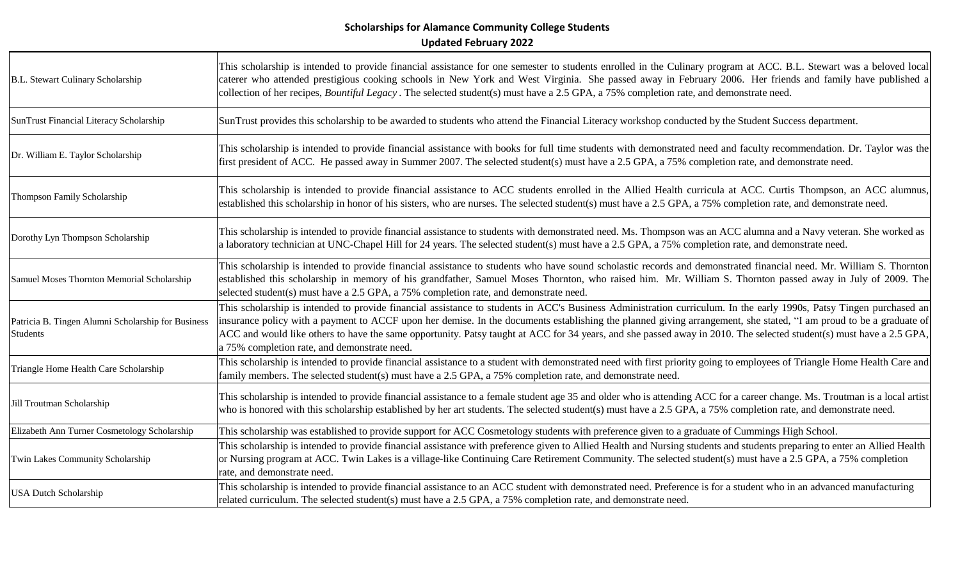| B.L. Stewart Culinary Scholarship                              | This scholarship is intended to provide financial assistance for one semester to students enrolled in the Culinary program at ACC. B.L. Stewart was a beloved local<br>caterer who attended prestigious cooking schools in New York and West Virginia. She passed away in February 2006. Her friends and family have published a<br>collection of her recipes, Bountiful Legacy. The selected student(s) must have a 2.5 GPA, a 75% completion rate, and demonstrate need.                                                                                       |
|----------------------------------------------------------------|------------------------------------------------------------------------------------------------------------------------------------------------------------------------------------------------------------------------------------------------------------------------------------------------------------------------------------------------------------------------------------------------------------------------------------------------------------------------------------------------------------------------------------------------------------------|
| SunTrust Financial Literacy Scholarship                        | SunTrust provides this scholarship to be awarded to students who attend the Financial Literacy workshop conducted by the Student Success department.                                                                                                                                                                                                                                                                                                                                                                                                             |
| Dr. William E. Taylor Scholarship                              | This scholarship is intended to provide financial assistance with books for full time students with demonstrated need and faculty recommendation. Dr. Taylor was the<br>first president of ACC. He passed away in Summer 2007. The selected student(s) must have a 2.5 GPA, a 75% completion rate, and demonstrate need.                                                                                                                                                                                                                                         |
| Thompson Family Scholarship                                    | This scholarship is intended to provide financial assistance to ACC students enrolled in the Allied Health curricula at ACC. Curtis Thompson, an ACC alumnus,<br>established this scholarship in honor of his sisters, who are nurses. The selected student(s) must have a 2.5 GPA, a 75% completion rate, and demonstrate need.                                                                                                                                                                                                                                 |
| Dorothy Lyn Thompson Scholarship                               | This scholarship is intended to provide financial assistance to students with demonstrated need. Ms. Thompson was an ACC alumna and a Navy veteran. She worked as<br>a laboratory technician at UNC-Chapel Hill for 24 years. The selected student(s) must have a 2.5 GPA, a 75% completion rate, and demonstrate need.                                                                                                                                                                                                                                          |
| Samuel Moses Thornton Memorial Scholarship                     | This scholarship is intended to provide financial assistance to students who have sound scholastic records and demonstrated financial need. Mr. William S. Thornton<br>established this scholarship in memory of his grandfather, Samuel Moses Thornton, who raised him. Mr. William S. Thornton passed away in July of 2009. The<br>selected student(s) must have a 2.5 GPA, a 75% completion rate, and demonstrate need.                                                                                                                                       |
| Patricia B. Tingen Alumni Scholarship for Business<br>Students | This scholarship is intended to provide financial assistance to students in ACC's Business Administration curriculum. In the early 1990s, Patsy Tingen purchased an<br>insurance policy with a payment to ACCF upon her demise. In the documents establishing the planned giving arrangement, she stated, "I am proud to be a graduate of<br>ACC and would like others to have the same opportunity. Patsy taught at ACC for 34 years, and she passed away in 2010. The selected student(s) must have a 2.5 GPA,<br>a 75% completion rate, and demonstrate need. |
| Triangle Home Health Care Scholarship                          | This scholarship is intended to provide financial assistance to a student with demonstrated need with first priority going to employees of Triangle Home Health Care and<br>family members. The selected student(s) must have a 2.5 GPA, a 75% completion rate, and demonstrate need.                                                                                                                                                                                                                                                                            |
| Jill Troutman Scholarship                                      | This scholarship is intended to provide financial assistance to a female student age 35 and older who is attending ACC for a career change. Ms. Troutman is a local artist<br>who is honored with this scholarship established by her art students. The selected student(s) must have a 2.5 GPA, a 75% completion rate, and demonstrate need.                                                                                                                                                                                                                    |
| Elizabeth Ann Turner Cosmetology Scholarship                   | This scholarship was established to provide support for ACC Cosmetology students with preference given to a graduate of Cummings High School.                                                                                                                                                                                                                                                                                                                                                                                                                    |
| Twin Lakes Community Scholarship                               | This scholarship is intended to provide financial assistance with preference given to Allied Health and Nursing students and students preparing to enter an Allied Health<br>or Nursing program at ACC. Twin Lakes is a village-like Continuing Care Retirement Community. The selected student(s) must have a 2.5 GPA, a 75% completion<br>rate, and demonstrate need.                                                                                                                                                                                          |
| <b>USA Dutch Scholarship</b>                                   | This scholarship is intended to provide financial assistance to an ACC student with demonstrated need. Preference is for a student who in an advanced manufacturing<br>related curriculum. The selected student(s) must have a 2.5 GPA, a 75% completion rate, and demonstrate need.                                                                                                                                                                                                                                                                             |